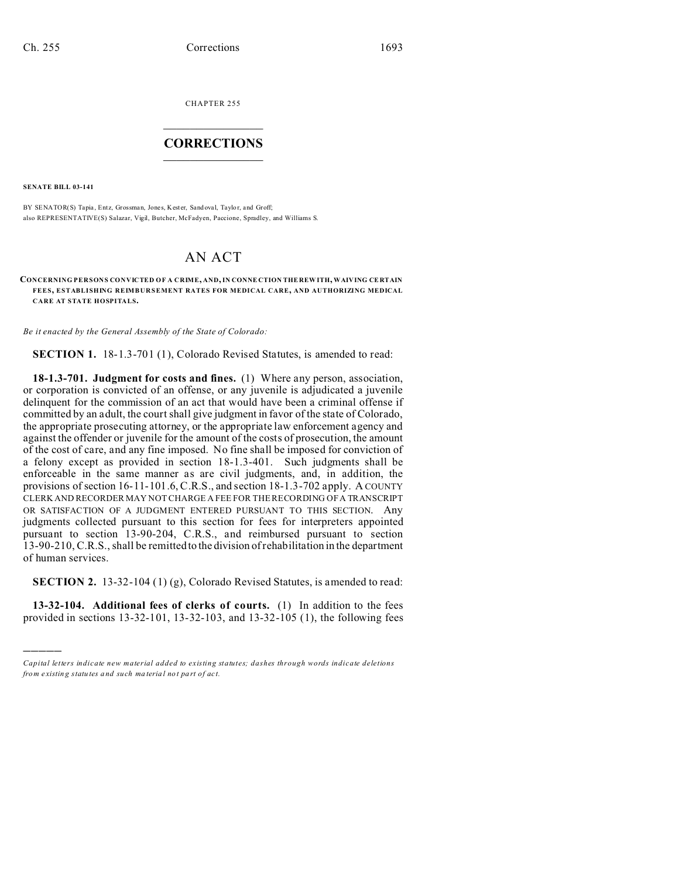CHAPTER 255  $\overline{\phantom{a}}$  , where  $\overline{\phantom{a}}$ 

## **CORRECTIONS**  $\frac{1}{2}$  ,  $\frac{1}{2}$  ,  $\frac{1}{2}$  ,  $\frac{1}{2}$  ,  $\frac{1}{2}$  ,  $\frac{1}{2}$

**SENATE BILL 03-141**

)))))

BY SENATOR(S) Tapia, Entz, Grossman, Jones, Kester, Sandoval, Taylor, and Groff; also REPRESENTATIVE(S) Salazar, Vigil, Butcher, McFadyen, Paccione, Spradley, and Williams S.

## AN ACT

**CONCERNING PERSONS CONVICTED OF A CRIME, AND, IN CONNE CTION THE REW ITH, WAIVING CE RTAIN FEES, ESTABLISHING REIMBURSEMENT RATES FOR MEDICAL CARE, AND AUTHORIZING MEDICAL CARE AT STATE HOSPITALS.**

*Be it enacted by the General Assembly of the State of Colorado:*

**SECTION 1.** 18-1.3-701 (1), Colorado Revised Statutes, is amended to read:

**18-1.3-701. Judgment for costs and fines.** (1) Where any person, association, or corporation is convicted of an offense, or any juvenile is adjudicated a juvenile delinquent for the commission of an act that would have been a criminal offense if committed by an adult, the court shall give judgment in favor of the state of Colorado, the appropriate prosecuting attorney, or the appropriate law enforcement agency and against the offender or juvenile for the amount of the costs of prosecution, the amount of the cost of care, and any fine imposed. No fine shall be imposed for conviction of a felony except as provided in section 18-1.3-401. Such judgments shall be enforceable in the same manner as are civil judgments, and, in addition, the provisions of section 16-11-101.6, C.R.S., and section 18-1.3-702 apply. A COUNTY CLERK AND RECORDER MAY NOT CHARGE A FEE FOR THE RECORDING OF A TRANSCRIPT OR SATISFACTION OF A JUDGMENT ENTERED PURSUANT TO THIS SECTION. Any judgments collected pursuant to this section for fees for interpreters appointed pursuant to section 13-90-204, C.R.S., and reimbursed pursuant to section 13-90-210, C.R.S., shall be remitted to the division of rehabilitation in the department of human services.

**SECTION 2.** 13-32-104 (1) (g), Colorado Revised Statutes, is amended to read:

**13-32-104. Additional fees of clerks of courts.** (1) In addition to the fees provided in sections 13-32-101, 13-32-103, and 13-32-105 (1), the following fees

*Capital letters indicate new material added to existing statutes; dashes through words indicate deletions from e xistin g statu tes a nd such ma teria l no t pa rt of ac t.*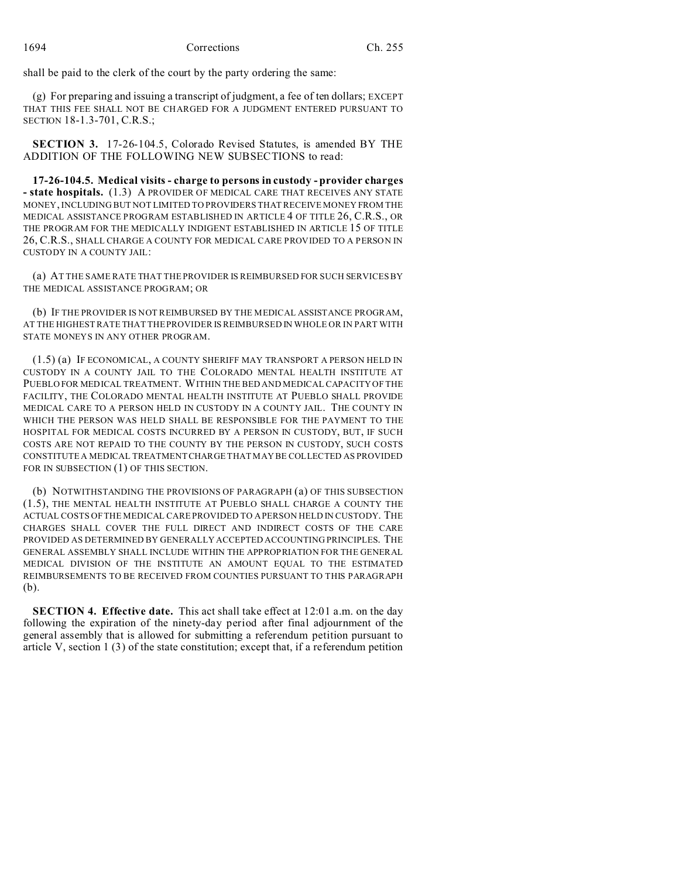shall be paid to the clerk of the court by the party ordering the same:

(g) For preparing and issuing a transcript of judgment, a fee of ten dollars; EXCEPT THAT THIS FEE SHALL NOT BE CHARGED FOR A JUDGMENT ENTERED PURSUANT TO SECTION 18-1.3-701, C.R.S.;

**SECTION 3.** 17-26-104.5, Colorado Revised Statutes, is amended BY THE ADDITION OF THE FOLLOWING NEW SUBSECTIONS to read:

**17-26-104.5. Medical visits - charge to persons in custody - provider charges - state hospitals.** (1.3) A PROVIDER OF MEDICAL CARE THAT RECEIVES ANY STATE MONEY, INCLUDING BUT NOT LIMITED TO PROVIDERS THAT RECEIVE MONEY FROM THE MEDICAL ASSISTANCE PROGRAM ESTABLISHED IN ARTICLE 4 OF TITLE 26, C.R.S., OR THE PROGRAM FOR THE MEDICALLY INDIGENT ESTABLISHED IN ARTICLE 15 OF TITLE 26, C.R.S., SHALL CHARGE A COUNTY FOR MEDICAL CARE PROVIDED TO A PERSON IN CUSTODY IN A COUNTY JAIL:

(a) AT THE SAME RATE THAT THE PROVIDER IS REIMBURSED FOR SUCH SERVICES BY THE MEDICAL ASSISTANCE PROGRAM; OR

(b) IF THE PROVIDER IS NOT REIMBURSED BY THE MEDICAL ASSISTANCE PROGRAM, AT THE HIGHEST RATE THAT THE PROVIDER IS REIMBURSED IN WHOLE OR IN PART WITH STATE MONEYS IN ANY OTHER PROGRAM.

(1.5) (a) IF ECONOMICAL, A COUNTY SHERIFF MAY TRANSPORT A PERSON HELD IN CUSTODY IN A COUNTY JAIL TO THE COLORADO MENTAL HEALTH INSTITUTE AT PUEBLO FOR MEDICAL TREATMENT. WITHIN THE BED AND MEDICAL CAPACITY OF THE FACILITY, THE COLORADO MENTAL HEALTH INSTITUTE AT PUEBLO SHALL PROVIDE MEDICAL CARE TO A PERSON HELD IN CUSTODY IN A COUNTY JAIL. THE COUNTY IN WHICH THE PERSON WAS HELD SHALL BE RESPONSIBLE FOR THE PAYMENT TO THE HOSPITAL FOR MEDICAL COSTS INCURRED BY A PERSON IN CUSTODY, BUT, IF SUCH COSTS ARE NOT REPAID TO THE COUNTY BY THE PERSON IN CUSTODY, SUCH COSTS CONSTITUTE A MEDICAL TREATMENT CHARGE THAT MAY BE COLLECTED AS PROVIDED FOR IN SUBSECTION (1) OF THIS SECTION.

(b) NOTWITHSTANDING THE PROVISIONS OF PARAGRAPH (a) OF THIS SUBSECTION (1.5), THE MENTAL HEALTH INSTITUTE AT PUEBLO SHALL CHARGE A COUNTY THE ACTUAL COSTS OF THE MEDICAL CARE PROVIDED TO A PERSON HELD IN CUSTODY. THE CHARGES SHALL COVER THE FULL DIRECT AND INDIRECT COSTS OF THE CARE PROVIDED AS DETERMINED BY GENERALLY ACCEPTED ACCOUNTING PRINCIPLES. THE GENERAL ASSEMBLY SHALL INCLUDE WITHIN THE APPROPRIATION FOR THE GENERAL MEDICAL DIVISION OF THE INSTITUTE AN AMOUNT EQUAL TO THE ESTIMATED REIMBURSEMENTS TO BE RECEIVED FROM COUNTIES PURSUANT TO THIS PARAGRAPH (b).

**SECTION 4. Effective date.** This act shall take effect at 12:01 a.m. on the day following the expiration of the ninety-day period after final adjournment of the general assembly that is allowed for submitting a referendum petition pursuant to article V, section 1  $(3)$  of the state constitution; except that, if a referendum petition